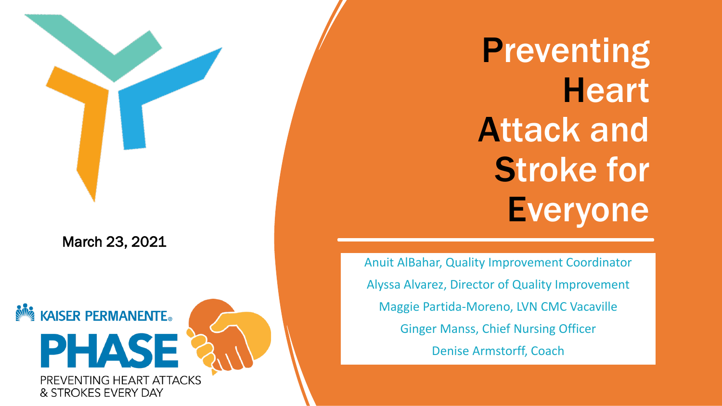March 23, 2021

**NOW KAISER PERMANENTE.** PHAS PREVENTING HEART ATTACKS & STROKES EVERY DAY

**Preventing Heart** Attack and Stroke for **Everyone** 

Anuit AlBahar, Quality Improvement Coordinator Alyssa Alvarez, Director of Quality Improvement Maggie Partida-Moreno, LVN CMC Vacaville Ginger Manss, Chief Nursing Officer Denise Armstorff, Coach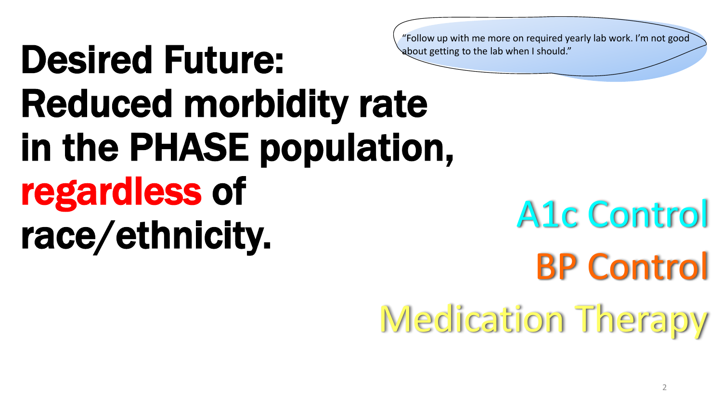"Follow up with me more on required yearly lab work. I'm not good about getting to the lab when I should."

# Desired Future: Reduced morbidity rate in the PHASE population, regardless of race/ethnicity.

A1c Control BP Control Medication Therapy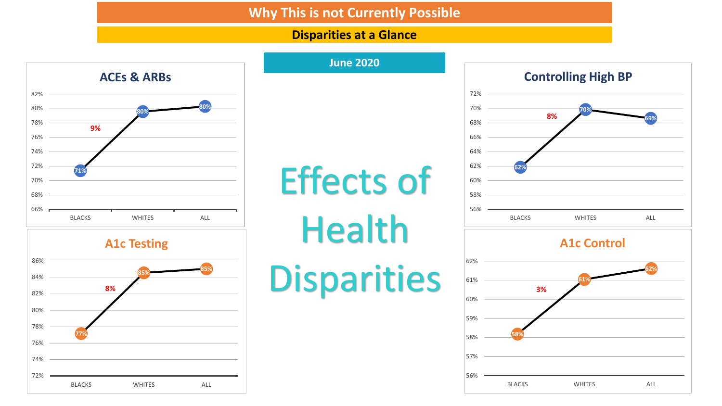#### **Why This is not Currently Possible**

#### **Disparities at a Glance**





![](_page_2_Figure_4.jpeg)

![](_page_2_Figure_5.jpeg)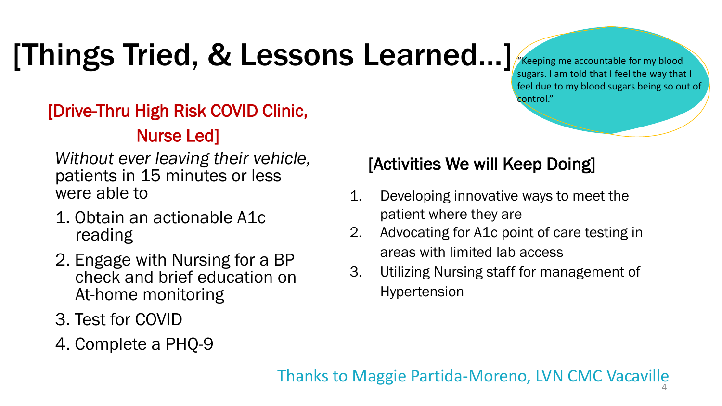## [Things Tried, & Lessons Learned…]

"Keeping me accountable for my blood sugars. I am told that I feel the way that I feel due to my blood sugars being so out of control."

### [Drive-Thru High Risk COVID Clinic, Nurse Led]

*Without ever leaving their vehicle,*  patients in 15 minutes or less were able to

- 1. Obtain an actionable A1c reading
- 2. Engage with Nursing for a BP check and brief education on At-home monitoring
- 3. Test for COVID
- 4. Complete a PHQ-9

### [Activities We will Keep Doing]

- 1. Developing innovative ways to meet the patient where they are
- 2. Advocating for A1c point of care testing in areas with limited lab access
- 3. Utilizing Nursing staff for management of Hypertension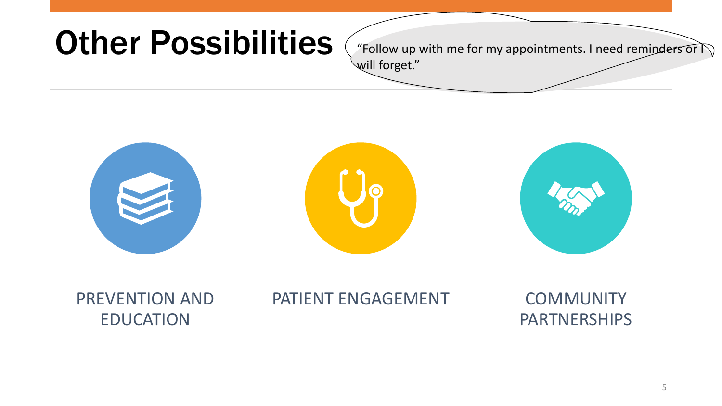### **Other Possibilities**

"Follow up with me for my appointments. I need reminders or  $\widehat{\wedge}$ will forget."

![](_page_4_Picture_2.jpeg)

PREVENTION AND EDUCATION

### PATIENT ENGAGEMENT COMMUNITY

PARTNERSHIPS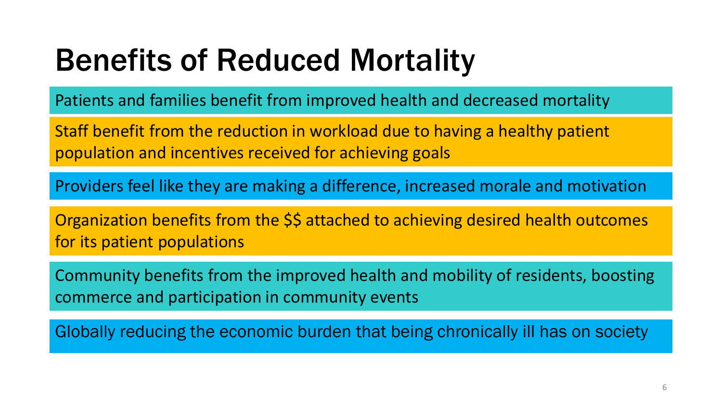## Benefits of Reduced Mortality

Patients and families benefit from improved health and decreased mortality

Staff benefit from the reduction in workload due to having a healthy patient population and incentives received for achieving goals

Providers feel like they are making a difference, increased morale and motivation

Organization benefits from the \$\$ attached to achieving desired health outcomes for its patient populations

Community benefits from the improved health and mobility of residents, boosting commerce and participation in community events

Globally reducing the economic burden that being chronically ill has on society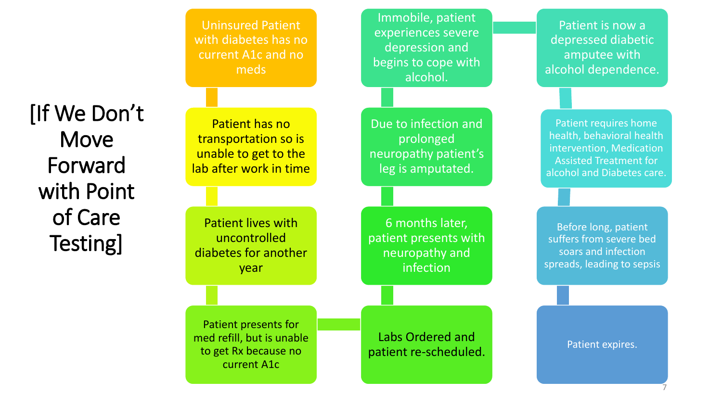![](_page_6_Figure_0.jpeg)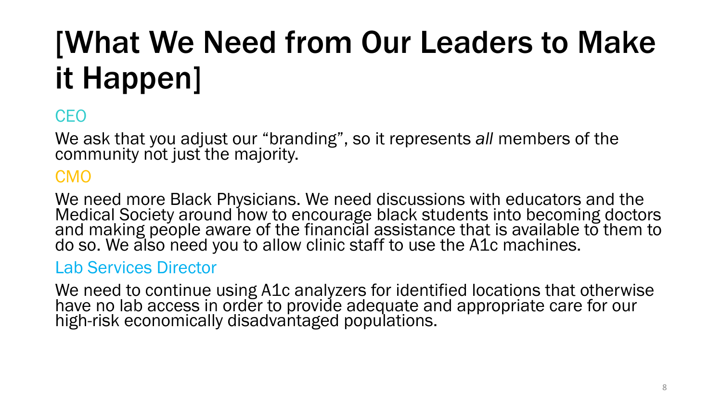# [What We Need from Our Leaders to Make it Happen]

### **CEO**

We ask that you adjust our "branding", so it represents *all* members of the community not just the majority.

### CMO

We need more Black Physicians. We need discussions with educators and the Medical Society around how to encourage black students into becoming doctors and making people aware of the financial assistance that is available to them to do so. We also need you to allow clinic staff to use the A1c machines.

#### Lab Services Director

We need to continue using A1c analyzers for identified locations that otherwise have no lab access in order to provide adequate and appropriate care for our high-risk economically disadvantaged populations.